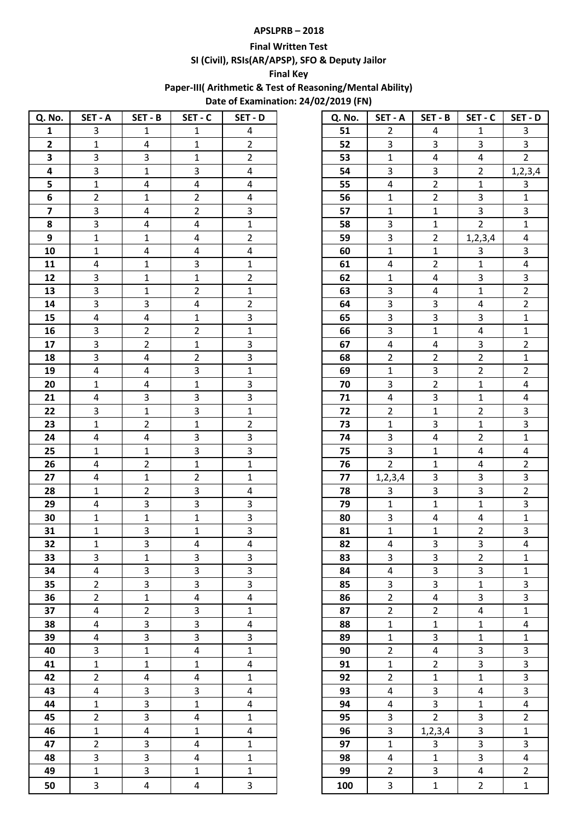## **APSLPRB – 2018**

### **Final Written Test**

**SI (Civil), RSIs(AR/APSP), SFO & Deputy Jailor** 

### **Final Key**

**Paper-III( Arithmetic & Test of Reasoning/Mental Ability)** 

**Date of Examination: 24/02/2019 (FN)**

| Q. No.                  | SET - A                 | SET - B                 | SET-C                          | SET - D                 | Q. No. | SET - A                 | SET - B                 | SET - C                     | SET - D        |
|-------------------------|-------------------------|-------------------------|--------------------------------|-------------------------|--------|-------------------------|-------------------------|-----------------------------|----------------|
| $\mathbf 1$             | 3                       | $\mathbf{1}$            | $\mathbf{1}$                   | 4                       | 51     | $\mathbf{2}$            | 4                       | $\mathbf{1}$                | $\mathbf{3}$   |
| $\overline{2}$          | $\mathbf 1$             | $\overline{4}$          | $\mathbf{1}$                   | $\overline{2}$          | 52     | $\mathbf{3}$            | $\mathbf{3}$            | 3                           | $\overline{3}$ |
| 3                       | 3                       | 3                       | $\mathbf{1}$                   | $\overline{2}$          | 53     | $\mathbf{1}$            | $\overline{4}$          | $\overline{\mathbf{4}}$     | $2^{\circ}$    |
| 4                       | 3                       | $\mathbf 1$             | $\overline{3}$                 | $\overline{\mathbf{4}}$ | 54     | 3                       | $\overline{3}$          | $\overline{2}$              | 1, 2, 3, 4     |
| 5                       | $\mathbf 1$             | 4                       | $\overline{4}$                 | 4                       | 55     | $\overline{4}$          | $\overline{2}$          | $\mathbf{1}$                | $\overline{3}$ |
| 6                       | $\overline{2}$          | $\mathbf{1}$            | $\overline{2}$                 | $\overline{4}$          | 56     | $\mathbf{1}$            | $\overline{2}$          | $\overline{3}$              | $\mathbf{1}$   |
| $\overline{\mathbf{z}}$ | 3                       | $\overline{\mathbf{4}}$ | $\overline{2}$                 | $\overline{3}$          | 57     | $\mathbf{1}$            | $\mathbf 1$             | 3                           | $\overline{3}$ |
| 8                       | $\overline{3}$          | 4                       | $\overline{4}$                 | $\mathbf 1$             | 58     | 3                       | $\mathbf 1$             | $\overline{2}$              | $\mathbf 1$    |
| 9                       | $\mathbf{1}$            | $\mathbf{1}$            | $\overline{4}$                 | $\overline{2}$          | 59     | $\overline{3}$          | $\overline{2}$          | 1, 2, 3, 4                  | 4              |
| 10                      | $\mathbf{1}$            | $\overline{4}$          | 4                              | 4                       | 60     | $\mathbf{1}$            | $\mathbf{1}$            | $\overline{3}$              | $\overline{3}$ |
| 11                      | $\overline{\mathbf{4}}$ | $\mathbf{1}$            | $\overline{3}$                 | $\mathbf 1$             | 61     | $\overline{4}$          | $\overline{2}$          | $\mathbf 1$                 | 4              |
| 12                      | $\overline{3}$          | $\mathbf 1$             | $\mathbf 1$                    | $\overline{2}$          | 62     | $\mathbf{1}$            | $\overline{\mathbf{4}}$ | 3                           | $\overline{3}$ |
| 13                      | $\overline{3}$          | $\mathbf{1}$            | $\overline{2}$                 | $\mathbf 1$             | 63     | $\overline{3}$          | $\overline{4}$          | $\mathbf{1}$                | $\overline{2}$ |
|                         | 3                       | 3                       |                                | $\overline{2}$          | 64     | $\overline{3}$          | 3                       |                             | $2^{\circ}$    |
| 14<br>15                | $\overline{\mathbf{4}}$ | $\pmb{4}$               | $\overline{4}$<br>$\mathbf{1}$ | 3                       | 65     | $\overline{3}$          | $\overline{3}$          | $\pmb{4}$<br>$\overline{3}$ |                |
|                         |                         |                         |                                |                         |        |                         |                         |                             | $\mathbf 1$    |
| 16                      | $\overline{3}$          | $\overline{2}$          | $\overline{2}$                 | $\mathbf 1$             | 66     | $\overline{3}$          | $\mathbf{1}$            | $\overline{4}$              | $\mathbf 1$    |
| 17                      | $\overline{3}$          | $\overline{2}$          | $\mathbf{1}$                   | $\mathbf{3}$            | 67     | $\overline{4}$          | $\overline{4}$          | $\overline{3}$              | $\overline{2}$ |
| 18                      | 3                       | $\overline{4}$          | $\overline{2}$                 | $\overline{3}$          | 68     | $\overline{2}$          | $\overline{2}$          | $\overline{2}$              | $\mathbf 1$    |
| 19                      | 4                       | 4                       | $\overline{3}$                 | $\mathbf 1$             | 69     | $\mathbf{1}$            | $\overline{3}$          | $\overline{2}$              | $\overline{2}$ |
| 20                      | $\mathbf{1}$            | $\overline{\mathbf{4}}$ | $\mathbf{1}$                   | $\overline{3}$          | 70     | $\overline{3}$          | $\overline{2}$          | $\mathbf{1}$                | $\overline{4}$ |
| 21                      | 4                       | 3                       | $\overline{3}$                 | $\overline{3}$          | 71     | $\overline{4}$          | 3                       | $\mathbf{1}$                | 4              |
| 22                      | $\overline{\mathbf{3}}$ | $\mathbf 1$             | $\overline{3}$                 | $\overline{1}$          | 72     | $\overline{2}$          | $\mathbf 1$             | $\overline{2}$              | $\mathbf{3}$   |
| 23                      | $\mathbf{1}$            | $\overline{2}$          | $1\,$                          | $\overline{2}$          | 73     | $\mathbf{1}$            | $\mathbf{3}$            | $\mathbf{1}$                | $\overline{3}$ |
| 24                      | 4                       | $\overline{4}$          | $\overline{3}$                 | $\mathbf{3}$            | 74     | $\overline{3}$          | 4                       | $\overline{2}$              | $\mathbf 1$    |
| 25                      | $\mathbf 1$             | $\mathbf 1$             | $\overline{3}$                 | $\mathbf{3}$            | 75     | $\overline{\mathbf{3}}$ | $\mathbf 1$             | $\overline{\mathbf{4}}$     | 4              |
| 26                      | 4                       | $\overline{2}$          | $\mathbf 1$                    | $\mathbf 1$             | 76     | $\overline{2}$          | $\mathbf 1$             | $\overline{\mathbf{4}}$     | $\overline{2}$ |
| 27                      | 4                       | $\mathbf{1}$            | $\overline{2}$                 | $\mathbf 1$             | 77     | 1, 2, 3, 4              | $\mathbf{3}$            | $\overline{3}$              | $\overline{3}$ |
| 28                      | $\mathbf{1}$            | $\overline{2}$          | 3                              | $\overline{\mathbf{4}}$ | 78     | $\overline{3}$          | 3                       | 3                           | $\overline{2}$ |
| 29                      | $\overline{\mathbf{4}}$ | 3                       | $\overline{3}$                 | 3                       | 79     | $\mathbf{1}$            | $\mathbf 1$             | $\mathbf{1}$                | $\overline{3}$ |
| 30                      | $\mathbf{1}$            | $\mathbf{1}$            | $\mathbf 1$                    | 3                       | 80     | $\mathbf{3}$            | 4                       | 4                           | $\mathbf 1$    |
| 31                      | $\mathbf 1$             | 3                       | $\mathbf 1$                    | $\overline{\mathbf{3}}$ | 81     | $\mathbf{1}$            | $\mathbf{1}$            | $\overline{2}$              | $\overline{3}$ |
| 32                      | $\mathbf{1}$            | 3                       | $\overline{4}$                 | $\overline{4}$          | 82     | 4                       | 3                       | 3                           | $\overline{4}$ |
| 33                      | 3                       | $\mathbf{1}$            | 3                              | 3                       | 83     | 3                       | 3                       | $\overline{2}$              | $\mathbf{1}$   |
| 34                      | $\overline{\mathbf{4}}$ | 3                       | $\overline{3}$                 | $\mathbf{3}$            | 84     | $\overline{4}$          | $\overline{3}$          | $\overline{3}$              | $\mathbf{1}$   |
| 35                      | $\overline{2}$          | 3                       | $\overline{\mathbf{3}}$        | $\mathbf{3}$            | 85     | $\overline{3}$          | $\overline{3}$          | $\mathbf{1}$                | $\mathbf{3}$   |
| 36                      | $\overline{2}$          | $\mathbf 1$             | $\overline{\mathbf{4}}$        | $\overline{4}$          | 86     | $\overline{2}$          | $\overline{\mathbf{4}}$ | $\overline{3}$              | $\overline{3}$ |
| 37                      | 4                       | $\overline{2}$          | $\overline{3}$                 | $\mathbf 1$             | 87     | $\overline{2}$          | $\mathbf{2}$            | $\overline{4}$              | $\mathbf{1}$   |
| 38                      | 4                       | 3                       | $\overline{3}$                 | 4                       | 88     | $\mathbf{1}$            | $\mathbf{1}$            | $\mathbf{1}$                | $\overline{4}$ |
| 39                      | $\overline{\mathbf{4}}$ | 3                       | $\overline{3}$                 | $\overline{3}$          | 89     | $\mathbf{1}$            | 3                       | $\mathbf{1}$                | $\mathbf 1$    |
| 40                      | $\overline{3}$          | $\mathbf 1$             | $\overline{4}$                 | $\mathbf{1}$            | 90     | $\mathbf{2}$            | $\overline{\mathbf{4}}$ | $\overline{3}$              | $\mathbf{3}$   |
| 41                      | $\mathbf{1}$            | $\mathbf{1}$            | $\mathbf{1}$                   | $\overline{4}$          | 91     | $\mathbf{1}$            | $\overline{2}$          | $\overline{3}$              | $\mathbf{3}$   |
| 42                      | $\overline{2}$          | $\overline{4}$          | 4                              | $\mathbf{1}$            | 92     | $\overline{2}$          | $\mathbf{1}$            | $\mathbf{1}$                | $\overline{3}$ |
| 43                      | 4                       | 3                       | $\overline{3}$                 | $\overline{4}$          | 93     | $\overline{4}$          | $\overline{3}$          | $\overline{4}$              | $\overline{3}$ |
| 44                      | $\mathbf{1}$            | 3                       | $\mathbf{1}$                   | $\overline{4}$          | 94     | 4                       | $\overline{3}$          | $\mathbf{1}$                | 4              |
| 45                      | $\overline{2}$          | 3                       | $\overline{4}$                 | $\mathbf{1}$            | 95     | $\overline{3}$          | $\overline{2}$          | $\overline{3}$              | $\overline{2}$ |
| 46                      | $\mathbf{1}$            | $\overline{4}$          | $\mathbf{1}$                   | $\overline{4}$          | 96     | $\overline{3}$          | 1, 2, 3, 4              | $\overline{3}$              | $\mathbf{1}$   |
| 47                      | $\overline{2}$          | $\overline{3}$          | $\overline{4}$                 | $\mathbf{1}$            | 97     | $\mathbf{1}$            | 3                       | $\overline{3}$              | $\mathbf{3}$   |
| 48                      | $\overline{3}$          | 3                       | $\overline{4}$                 | $\mathbf 1$             | 98     | 4                       | $\mathbf 1$             | $\overline{3}$              | 4              |
| 49                      | $\mathbf{1}$            | 3                       | $\mathbf{1}$                   | $\mathbf{1}$            | 99     | $\overline{2}$          | $\overline{3}$          | 4                           | $\overline{2}$ |
| 50                      | $\overline{3}$          | $\overline{4}$          | $\overline{4}$                 | $\overline{3}$          | 100    | $\overline{3}$          | $\mathbf 1$             | $\overline{2}$              | $\mathbf{1}$   |

| Q. No. | SET - A                 | SET - B                 | $SET - C$               | SET - D                 |
|--------|-------------------------|-------------------------|-------------------------|-------------------------|
| 51     | $\overline{\mathbf{c}}$ | 4                       | $\mathbf{1}$            | $\overline{\mathbf{3}}$ |
| 52     | 3                       | 3                       | 3                       | 3                       |
| 53     | $\overline{1}$          | 4                       | 4                       | $\overline{2}$          |
| 54     | 3                       | 3                       | $\overline{c}$          | 1, 2, 3, 4              |
| 55     | 4                       | $\overline{2}$          | $\mathbf{1}$            | 3                       |
| 56     | $\mathbf{1}$            | $\overline{\mathbf{c}}$ | 3                       | $\mathbf{1}$            |
| 57     | $\overline{1}$          | $\overline{1}$          | 3                       | 3                       |
| 58     | 3                       | $\mathbf{1}$            | $\overline{2}$          | $\mathbf 1$             |
| 59     | $\overline{3}$          | $\overline{\mathbf{c}}$ | 1, 2, 3, 4              | 4                       |
| 60     | $\overline{1}$          | $\mathbf{1}$            | $\overline{\mathbf{3}}$ | 3                       |
| 61     | 4                       | $\overline{c}$          | $\mathbf{1}$            | 4                       |
| 62     | $\mathbf{1}$            | 4                       | 3                       | 3                       |
| 63     | 3                       | 4                       | $\mathbf{1}$            | $\overline{\mathbf{c}}$ |
| 64     | 3                       | 3                       | 4                       | $\overline{2}$          |
| 65     | $\overline{3}$          | 3                       | 3                       | $\mathbf{1}$            |
| 66     | 3                       | $\overline{1}$          | 4                       | $\mathbf{1}$            |
| 67     | $\overline{\mathbf{4}}$ | 4                       | 3                       | $\overline{2}$          |
| 68     | $\overline{c}$          | $\overline{2}$          | $\overline{2}$          | $\overline{1}$          |
| 69     | $\mathbf{1}$            | 3                       | $\overline{c}$          | $\overline{2}$          |
| 70     | 3                       | $\overline{\mathbf{c}}$ | $\mathbf{1}$            | 4                       |
| 71     | 4                       | 3                       | $\mathbf{1}$            | 4                       |
| 72     | $\overline{2}$          | $\mathbf{1}$            | $\overline{\mathbf{c}}$ | 3                       |
| 73     | $\mathbf{1}$            | 3                       | $\mathbf{1}$            | 3                       |
| 74     | 3                       | 4                       | $\overline{\mathbf{c}}$ | $\mathbf{1}$            |
| 75     | 3                       | $\overline{1}$          | 4                       | 4                       |
| 76     | $\overline{2}$          | $\mathbf{1}$            | 4                       | $\overline{2}$          |
| 77     | 1, 2, 3, 4              | 3                       | 3                       | 3                       |
| 78     | $\overline{3}$          | 3                       | 3                       | $\overline{2}$          |
| 79     | $\mathbf{1}$            | $\mathbf{1}$            | $\mathbf{1}$            | 3                       |
| 80     | $\overline{3}$          | 4                       | 4                       | $\overline{1}$          |
| 81     | $\mathbf{1}$            | $\mathbf{1}$            | $\overline{\mathbf{c}}$ | 3                       |
| 82     | 4                       | 3                       | 3                       | 4                       |
| 83     | 3                       | 3                       | $\overline{\mathbf{c}}$ | $\mathbf{1}$            |
| 84     | 4                       | $\overline{\mathbf{3}}$ | $\overline{\mathbf{3}}$ | $\mathbf{1}$            |
| 85     | 3                       | $\overline{3}$          | $\mathbf{1}$            | 3                       |
| 86     | $\overline{2}$          | 4                       | $\overline{3}$          | 3                       |
| 87     | $\overline{2}$          | $\overline{\mathbf{c}}$ | $\overline{\mathbf{r}}$ | $\overline{1}$          |
| 88     | $\mathbf 1$             | $\mathbf{1}$            | $\mathbf{1}$            | 4                       |
| 89     | $\overline{1}$          | 3                       | $\overline{1}$          | $\overline{1}$          |
| 90     | $\overline{2}$          | 4                       | 3                       | 3                       |
| 91     | $\mathbf{1}$            | $\overline{\mathbf{c}}$ | $\overline{3}$          | 3                       |
| 92     | $\overline{2}$          | $\mathbf{1}$            | $\overline{1}$          | $\overline{\mathbf{3}}$ |
| 93     | 4                       | 3                       | 4                       | $\overline{3}$          |
| 94     | 4                       | $\overline{3}$          | $\mathbf{1}$            | $\overline{4}$          |
| 95     | 3                       | $\overline{\mathbf{c}}$ | 3                       | $\overline{\mathbf{c}}$ |
| 96     | 3                       | 1, 2, 3, 4              | $\overline{3}$          | $\mathbf{1}$            |
| 97     | $\mathbf 1$             | 3                       | 3                       | 3                       |
| 98     | 4                       | $\overline{1}$          | $\overline{3}$          | 4                       |
| 99     | $\overline{2}$          | 3                       | 4                       | $\overline{2}$          |
| 100    | 3                       | $\mathbf{1}$            | $\overline{\mathbf{c}}$ | $\mathbf{1}$            |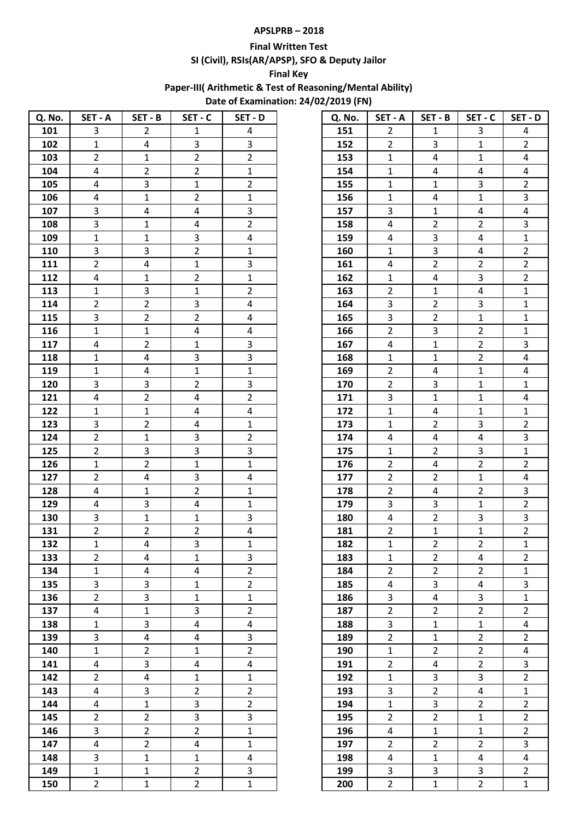# **APSLPRB – 2018**

### **Final Written Test**

**SI (Civil), RSIs(AR/APSP), SFO & Deputy Jailor** 

## **Final Key**

**Paper-III( Arithmetic & Test of Reasoning/Mental Ability)** 

**Date of Examination: 24/02/2019 (FN)**

| Q. No. | SET - A                 | SET - B                 | SET - C        | SET - D        | Q. No. | SET-A          | SET - B                 | SET - C                 | SET - D        |
|--------|-------------------------|-------------------------|----------------|----------------|--------|----------------|-------------------------|-------------------------|----------------|
| 101    | 3                       | $\overline{2}$          | $\mathbf{1}$   | 4              | 151    | $\overline{2}$ | 1                       | 3                       | 4              |
| 102    | $\mathbf{1}$            | $\overline{4}$          | $\overline{3}$ | 3              | 152    | $2^{\circ}$    | 3                       | $\mathbf{1}$            | $\overline{2}$ |
| 103    | $\overline{2}$          | $\mathbf{1}$            | $\overline{2}$ | $\overline{2}$ | 153    | $\mathbf{1}$   | $\overline{4}$          | $\mathbf{1}$            | $\overline{4}$ |
| 104    | 4                       | $\overline{2}$          | $\overline{2}$ | $\mathbf 1$    | 154    | $\mathbf{1}$   | 4                       | 4                       | $\overline{a}$ |
| 105    | 4                       | 3                       | $\mathbf 1$    | $\overline{2}$ | 155    | $\mathbf{1}$   | $\mathbf{1}$            | $\mathbf{3}$            | $2^{\circ}$    |
| 106    | $\overline{\mathbf{4}}$ | $\mathbf{1}$            | $2^{\circ}$    | $\mathbf 1$    | 156    | $\mathbf{1}$   | 4                       | $\mathbf{1}$            | $\mathbf{3}$   |
| 107    | 3                       | $\overline{\mathbf{4}}$ | 4              | $\mathbf{3}$   | 157    | 3              | $\mathbf 1$             | $\overline{4}$          | $\overline{a}$ |
| 108    | 3                       | $\mathbf{1}$            | 4              | $\overline{2}$ | 158    | 4              | $\overline{2}$          | $\overline{2}$          | $\mathbf{3}$   |
| 109    | $\mathbf{1}$            | $\mathbf{1}$            | $\mathbf{3}$   | $\overline{4}$ | 159    | 4              | 3                       | $\overline{4}$          | $\mathbf 1$    |
| 110    | 3                       | 3                       | $\mathbf{2}$   | 1              | 160    | $\mathbf{1}$   | 3                       | 4                       | $\overline{2}$ |
| 111    | $\overline{2}$          | $\overline{4}$          | $1\,$          | 3              | 161    | $\overline{4}$ | $\overline{2}$          | $\overline{2}$          | $\overline{2}$ |
| 112    | 4                       | $\mathbf 1$             | $\overline{2}$ | $\mathbf 1$    | 162    | $\mathbf{1}$   | 4                       | $\mathbf{3}$            | $\overline{2}$ |
| 113    | $\mathbf{1}$            | 3                       | $\mathbf{1}$   | $\overline{2}$ | 163    | $\overline{2}$ | $\mathbf{1}$            | $\overline{\mathbf{4}}$ | $\mathbf{1}$   |
| 114    | $\overline{2}$          | $\overline{2}$          | $\mathbf{3}$   | $\overline{4}$ | 164    | 3              | $\overline{2}$          | 3                       | $\mathbf 1$    |
| 115    | 3                       | $\overline{2}$          | $\overline{2}$ | 4              | 165    | $\mathbf{3}$   | $\mathbf{2}$            | $\mathbf{1}$            | $\mathbf{1}$   |
| 116    | $\mathbf{1}$            | $\mathbf{1}$            | $\overline{4}$ | $\overline{4}$ | 166    | $\overline{2}$ | 3                       | $\overline{2}$          | $\mathbf{1}$   |
| 117    | 4                       | $\overline{2}$          | $\mathbf{1}$   | $\mathbf{3}$   | 167    | $\overline{4}$ | $\mathbf{1}$            | $\overline{2}$          | $\mathbf{3}$   |
| 118    | $\mathbf{1}$            | $\overline{4}$          | $\overline{3}$ | 3              | 168    | $\mathbf{1}$   | $\mathbf{1}$            | $\overline{2}$          | $\overline{4}$ |
| 119    | $\mathbf{1}$            | $\overline{4}$          | $\mathbf{1}$   | $\mathbf 1$    | 169    | $\overline{2}$ | 4                       | $\mathbf{1}$            | 4              |
| 120    | $\overline{3}$          | 3                       | $\overline{2}$ | $\overline{3}$ | 170    | $2^{\circ}$    | $\overline{3}$          | $\mathbf{1}$            | $\mathbf{1}$   |
| 121    | $\overline{\mathbf{4}}$ | $\overline{2}$          | $\overline{4}$ | $\overline{2}$ | 171    | $\overline{3}$ | $\mathbf 1$             | $\mathbf{1}$            | 4              |
| 122    | $\mathbf{1}$            | $\mathbf 1$             | 4              | $\overline{4}$ | 172    | $\mathbf{1}$   | 4                       | $\mathbf{1}$            | $\mathbf{1}$   |
| 123    | 3                       | $\overline{2}$          | $\overline{4}$ | $\mathbf 1$    | 173    | $\mathbf{1}$   | $2^{\circ}$             | 3                       | $\overline{2}$ |
| 124    | $\overline{2}$          | $\mathbf{1}$            | $\overline{3}$ | $\overline{2}$ | 174    | $\overline{4}$ | 4                       | $\overline{4}$          | $\mathbf{3}$   |
| 125    | $\overline{2}$          | 3                       | $\overline{3}$ | $\overline{3}$ | 175    | $\mathbf{1}$   | $\overline{2}$          | $\mathbf{3}$            | $\mathbf{1}$   |
| 126    | $\mathbf{1}$            | $\overline{2}$          | $\mathbf{1}$   | $\mathbf 1$    | 176    | $2^{\circ}$    | $\overline{4}$          | $\overline{2}$          | $\overline{2}$ |
| 127    | $\overline{2}$          | 4                       | $\overline{3}$ | $\overline{4}$ | 177    | $2^{\circ}$    | $\overline{2}$          | $\mathbf{1}$            | $\overline{a}$ |
| 128    | 4                       | $\mathbf{1}$            | $\overline{2}$ | $\mathbf{1}$   | 178    | $\overline{2}$ | $\overline{4}$          | $\overline{2}$          | $\mathbf{3}$   |
| 129    | 4                       | 3                       | $\overline{4}$ | $\mathbf 1$    | 179    | $\overline{3}$ | $\overline{3}$          | $\mathbf{1}$            | $\overline{2}$ |
| 130    | 3                       | $\mathbf{1}$            | $\mathbf{1}$   | 3              | 180    | $\overline{4}$ | $\overline{2}$          | 3                       | 3              |
| 131    | $\overline{2}$          | $\overline{2}$          | $\overline{2}$ | 4              | 181    | $\overline{2}$ | $\mathbf 1$             | $\mathbf 1$             | $\overline{2}$ |
| 132    | $\mathbf{1}$            | $\overline{\mathbf{4}}$ | $\overline{3}$ | $\mathbf{1}$   | 182    | $\mathbf{1}$   | $\overline{2}$          | $\overline{2}$          | $\mathbf{1}$   |
| 133    | $\overline{2}$          | 4                       | $\mathbf{1}$   | 3              | 183    | $\mathbf{1}$   | $\overline{2}$          | 4                       | $\overline{2}$ |
| 134    | $\mathbf{1}$            | 4                       | $\overline{4}$ | $\overline{2}$ | 184    | $\overline{2}$ | $\overline{2}$          | $\overline{2}$          | $\mathbf{1}$   |
| 135    | 3                       | 3                       | $\mathbf{1}$   | $\overline{2}$ | 185    | $\overline{4}$ | 3                       | $\overline{4}$          | 3              |
| 136    | $\overline{2}$          | $\overline{3}$          | $\mathbf 1$    | $\mathbf 1$    | 186    | 3              | $\overline{\mathbf{4}}$ | $\overline{3}$          | $\mathbf 1$    |
| 137    | 4                       | $\mathbf{1}$            | $\mathbf{3}$   | $\overline{2}$ | 187    | $\overline{2}$ | $\overline{2}$          | $\overline{2}$          | $\overline{2}$ |
| 138    | $\mathbf{1}$            | 3                       | $\overline{4}$ | 4              | 188    | $\overline{3}$ | $\mathbf{1}$            | $\mathbf{1}$            | $\overline{4}$ |
| 139    | 3                       | 4                       | $\overline{4}$ | $\mathbf{3}$   | 189    | $\overline{2}$ | $\mathbf{1}$            | $\overline{2}$          | $\overline{2}$ |
| 140    | $\mathbf{1}$            | $\overline{2}$          | $\mathbf{1}$   | $\overline{2}$ | 190    | $\mathbf{1}$   | $\overline{2}$          | $\overline{2}$          | 4              |
| 141    | $\overline{4}$          | 3                       | $\overline{4}$ | $\overline{4}$ | 191    | $2^{\circ}$    | $\overline{4}$          | $\overline{2}$          | $\mathbf{3}$   |
| 142    | $\overline{2}$          | 4                       | $\mathbf{1}$   | $\mathbf{1}$   | 192    | $\mathbf{1}$   | 3                       | 3                       | $\overline{2}$ |
| 143    | $\overline{\mathbf{4}}$ | 3                       | $\overline{2}$ | $\overline{2}$ | 193    | 3              | $\overline{2}$          | $\overline{4}$          | $\mathbf 1$    |
| 144    | 4                       | $\mathbf{1}$            | $\overline{3}$ | $\overline{2}$ | 194    | $\mathbf{1}$   | 3                       | $\overline{2}$          | $\overline{2}$ |
| 145    | $\overline{2}$          | $\overline{2}$          | $\overline{3}$ | $\overline{3}$ | 195    | $2^{\circ}$    | $\overline{2}$          | $\mathbf{1}$            | $\overline{2}$ |
| 146    | 3                       | $\overline{2}$          | $\overline{2}$ | $\mathbf{1}$   | 196    | $\overline{4}$ | $\mathbf{1}$            | $\mathbf{1}$            | $2^{\circ}$    |
| 147    | 4                       | $\overline{2}$          | 4              | $\mathbf{1}$   | 197    | $\overline{2}$ | $\overline{2}$          | $\mathbf{2}$            | $\mathbf{3}$   |
| 148    | $\overline{3}$          | $\mathbf{1}$            | $\mathbf{1}$   | $\overline{4}$ | 198    | $\overline{4}$ | $\mathbf{1}$            | $\overline{4}$          | $\overline{4}$ |
| 149    | $\mathbf{1}$            | $\mathbf{1}$            | $\overline{2}$ | 3              | 199    | 3              | 3                       | 3                       | $2^{\circ}$    |
| 150    | $\overline{2}$          | $\mathbf{1}$            | $\overline{2}$ | $\mathbf 1$    | 200    | $\overline{2}$ | $\mathbf{1}$            | $\overline{2}$          | $\mathbf 1$    |

| Q. No. | SET - A                 | SET - B                 | SET - C                 | SET - D                 |
|--------|-------------------------|-------------------------|-------------------------|-------------------------|
| 151    | $\overline{2}$          | 1                       | 3                       | 4                       |
| 152    | $\overline{2}$          | 3                       | $\overline{1}$          | $\overline{2}$          |
| 153    | $\mathbf 1$             | 4                       | $\mathbf{1}$            | 4                       |
| 154    | $\overline{1}$          | 4                       | 4                       | 4                       |
| 155    | $\mathbf 1$             | $\mathbf 1$             | 3                       | $\overline{2}$          |
| 156    | $\mathbf 1$             | 4                       | $\overline{1}$          | 3                       |
| 157    | 3                       | $\mathbf 1$             | 4                       | 4                       |
| 158    | 4                       | $\overline{2}$          | $\overline{2}$          | 3                       |
| 159    | 4                       | 3                       | 4                       | $\mathbf{1}$            |
| 160    | $\mathbf{1}$            | 3                       | 4                       | $\overline{2}$          |
| 161    | 4                       | $\overline{2}$          | $\overline{2}$          | $\overline{2}$          |
| 162    | $\mathbf 1$             | 4                       | 3                       | $\overline{2}$          |
| 163    | $\overline{\mathbf{c}}$ | $\mathbf 1$             | 4                       | $\mathbf 1$             |
| 164    | 3                       | $\overline{\mathbf{c}}$ | 3                       | $\mathbf{1}$            |
| 165    | $\overline{3}$          | $\overline{2}$          | $\overline{1}$          | $\overline{1}$          |
| 166    | $\overline{2}$          | 3                       | $\overline{2}$          | $\mathbf{1}$            |
| 167    | 4                       | $\mathbf 1$             | $\overline{2}$          | 3                       |
| 168    | $\mathbf{1}$            | $\overline{1}$          | $\overline{2}$          | 4                       |
| 169    | $\overline{2}$          | 4                       | $\overline{1}$          | 4                       |
| 170    | $\overline{c}$          | 3                       | $\mathbf{1}$            | $\mathbf{1}$            |
| 171    | 3                       | $\mathbf 1$             | $\mathbf{1}$            | 4                       |
| 172    | $\mathbf{1}$            | 4                       | $\mathbf{1}$            | $\mathbf 1$             |
| 173    | $\mathbf{1}$            | $\overline{2}$          | 3                       | $\overline{2}$          |
| 174    | 4                       | 4                       | 4                       | 3                       |
| 175    | $\overline{1}$          | $\overline{2}$          | 3                       | $\mathbf{1}$            |
| 176    | $\overline{2}$          | 4                       | $\overline{2}$          | $\overline{2}$          |
| 177    | $\overline{c}$          | $\overline{2}$          | $\mathbf{1}$            | 4                       |
| 178    | $\overline{\mathbf{c}}$ | 4                       | $\overline{2}$          | 3                       |
| 179    | 3                       | 3                       | $\mathbf{1}$            | $\overline{2}$          |
| 180    | 4                       | $\overline{\mathbf{c}}$ | 3                       | 3                       |
| 181    | $\overline{c}$          | $\overline{1}$          | $\mathbf{1}$            | $\overline{2}$          |
| 182    | $\mathbf 1$             | $\overline{2}$          | $\overline{2}$          | $\mathbf 1$             |
| 183    | 1                       | $\overline{\mathbf{c}}$ | 4                       | $\overline{2}$          |
| 184    | $\overline{c}$          | $\overline{\mathbf{c}}$ | $\overline{2}$          | $\mathbf{1}$            |
| 185    | 4                       | 3                       | 4                       | 3                       |
| 186    | 3                       | 4                       | $\overline{3}$          | $\overline{1}$          |
| 187    | $\overline{\mathbf{c}}$ | $\overline{\mathbf{c}}$ | $\overline{c}$          | $\overline{\mathbf{c}}$ |
| 188    | 3                       | $\mathbf 1$             | $\mathbf{1}$            | 4                       |
| 189    | $\overline{2}$          | $\mathbf 1$             | $\overline{\mathbf{c}}$ | $\overline{2}$          |
| 190    | $\overline{1}$          | $\overline{2}$          | $\overline{2}$          | 4                       |
| 191    | $\overline{\mathbf{c}}$ | 4                       | $\overline{2}$          | 3                       |
| 192    | $\mathbf 1$             | 3                       | 3                       | $\overline{2}$          |
| 193    | 3                       | $\overline{2}$          | 4                       | $\overline{1}$          |
| 194    | $\overline{1}$          | 3                       | $\overline{2}$          | $\overline{2}$          |
| 195    | $\overline{\mathbf{c}}$ | $\overline{\mathbf{c}}$ | $\overline{1}$          | $\overline{\mathbf{c}}$ |
| 196    | 4                       | $\mathbf 1$             | $\overline{1}$          | $\overline{2}$          |
| 197    | $\overline{2}$          | $\overline{2}$          | $\overline{2}$          | 3                       |
| 198    | 4                       | $\mathbf 1$             | 4                       | 4                       |
| 199    | 3                       | 3                       | 3                       | $\overline{2}$          |
| 200    | $\overline{2}$          | $\mathbf 1$             | $\overline{2}$          | $\mathbf{1}$            |